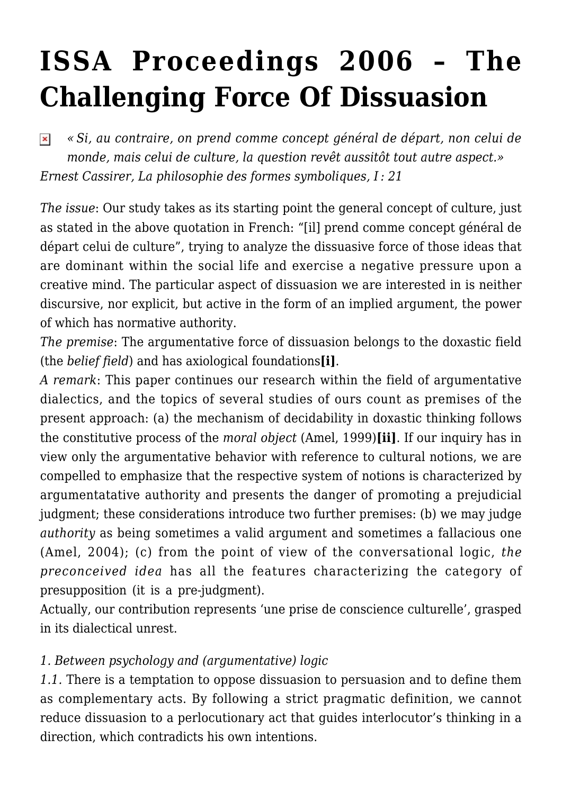# **[ISSA Proceedings 2006 – The](https://rozenbergquarterly.com/issa-proceedings-2006-the-challenging-force-of-dissuasion/) [Challenging Force Of Dissuasion](https://rozenbergquarterly.com/issa-proceedings-2006-the-challenging-force-of-dissuasion/)**

*« Si, au contraire, on prend comme concept général de départ, non celui de*  $\pmb{\times}$ *monde, mais celui de culture, la question revêt aussitôt tout autre aspect.» Ernest Cassirer, La philosophie des formes symboliques, I : 21*

*The issue*: Our study takes as its starting point the general concept of culture, just as stated in the above quotation in French: "[il] prend comme concept général de départ celui de culture", trying to analyze the dissuasive force of those ideas that are dominant within the social life and exercise a negative pressure upon a creative mind. The particular aspect of dissuasion we are interested in is neither discursive, nor explicit, but active in the form of an implied argument, the power of which has normative authority.

*The premise*: The argumentative force of dissuasion belongs to the doxastic field (the *belief field*) and has axiological foundations**[i]**.

*A remark*: This paper continues our research within the field of argumentative dialectics, and the topics of several studies of ours count as premises of the present approach: (a) the mechanism of decidability in doxastic thinking follows the constitutive process of the *moral object* (Amel, 1999)**[ii]**. If our inquiry has in view only the argumentative behavior with reference to cultural notions, we are compelled to emphasize that the respective system of notions is characterized by argumentatative authority and presents the danger of promoting a prejudicial judgment; these considerations introduce two further premises: (b) we may judge *authority* as being sometimes a valid argument and sometimes a fallacious one (Amel, 2004); (c) from the point of view of the conversational logic, *the preconceived idea* has all the features characterizing the category of presupposition (it is a pre-judgment).

Actually, our contribution represents 'une prise de conscience culturelle', grasped in its dialectical unrest.

#### *1. Between psychology and (argumentative) logic*

*1.1.* There is a temptation to oppose dissuasion to persuasion and to define them as complementary acts. By following a strict pragmatic definition, we cannot reduce dissuasion to a perlocutionary act that guides interlocutor's thinking in a direction, which contradicts his own intentions.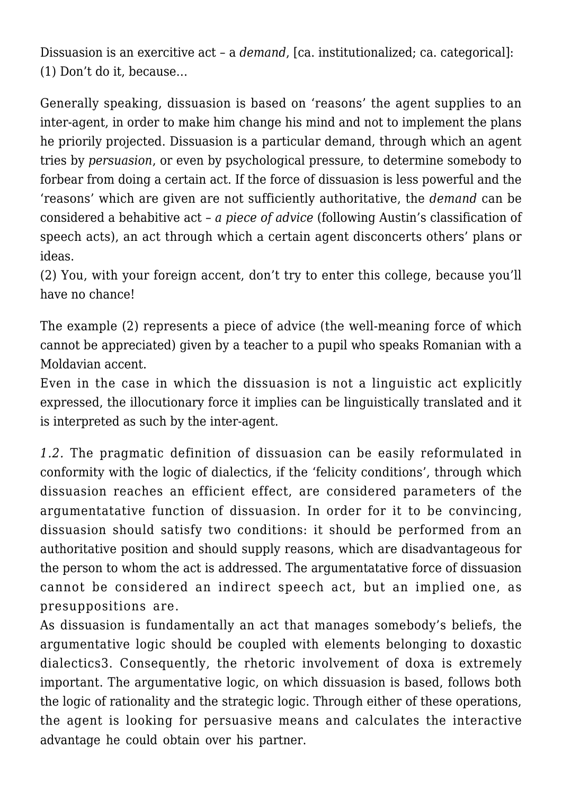Dissuasion is an exercitive act – a *demand*, [ca. institutionalized; ca. categorical]: (1) Don't do it, because…

Generally speaking, dissuasion is based on 'reasons' the agent supplies to an inter-agent, in order to make him change his mind and not to implement the plans he priorily projected. Dissuasion is a particular demand, through which an agent tries by *persuasion*, or even by psychological pressure, to determine somebody to forbear from doing a certain act. If the force of dissuasion is less powerful and the 'reasons' which are given are not sufficiently authoritative, the *demand* can be considered a behabitive act – *a piece of advice* (following Austin's classification of speech acts), an act through which a certain agent disconcerts others' plans or ideas.

(2) You, with your foreign accent, don't try to enter this college, because you'll have no chance!

The example (2) represents a piece of advice (the well-meaning force of which cannot be appreciated) given by a teacher to a pupil who speaks Romanian with a Moldavian accent.

Even in the case in which the dissuasion is not a linguistic act explicitly expressed, the illocutionary force it implies can be linguistically translated and it is interpreted as such by the inter-agent.

*1.2.* The pragmatic definition of dissuasion can be easily reformulated in conformity with the logic of dialectics, if the 'felicity conditions', through which dissuasion reaches an efficient effect, are considered parameters of the argumentatative function of dissuasion. In order for it to be convincing, dissuasion should satisfy two conditions: it should be performed from an authoritative position and should supply reasons, which are disadvantageous for the person to whom the act is addressed. The argumentatative force of dissuasion cannot be considered an indirect speech act, but an implied one, as presuppositions are.

As dissuasion is fundamentally an act that manages somebody's beliefs, the argumentative logic should be coupled with elements belonging to doxastic dialectics3. Consequently, the rhetoric involvement of doxa is extremely important. The argumentative logic, on which dissuasion is based, follows both the logic of rationality and the strategic logic. Through either of these operations, the agent is looking for persuasive means and calculates the interactive advantage he could obtain over his partner.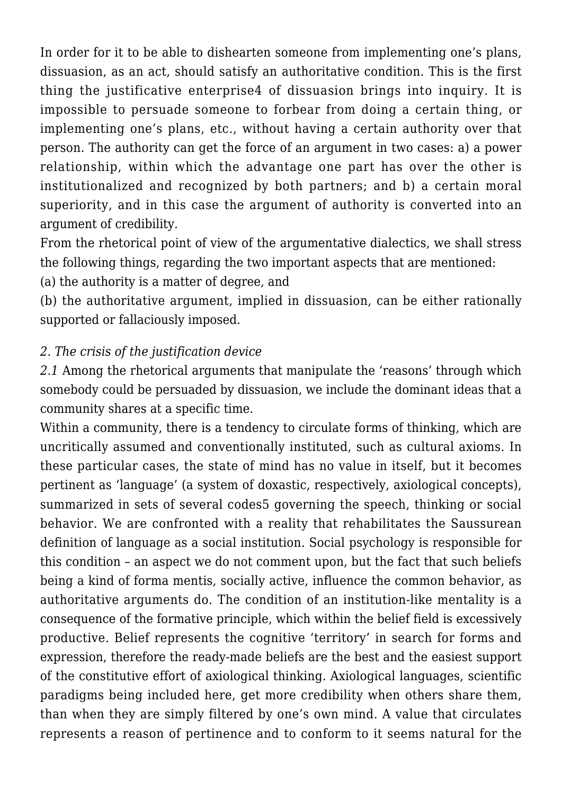In order for it to be able to dishearten someone from implementing one's plans, dissuasion, as an act, should satisfy an authoritative condition. This is the first thing the justificative enterprise4 of dissuasion brings into inquiry. It is impossible to persuade someone to forbear from doing a certain thing, or implementing one's plans, etc., without having a certain authority over that person. The authority can get the force of an argument in two cases: a) a power relationship, within which the advantage one part has over the other is institutionalized and recognized by both partners; and b) a certain moral superiority, and in this case the argument of authority is converted into an argument of credibility.

From the rhetorical point of view of the argumentative dialectics, we shall stress the following things, regarding the two important aspects that are mentioned:

(a) the authority is a matter of degree, and

(b) the authoritative argument, implied in dissuasion, can be either rationally supported or fallaciously imposed.

### *2. The crisis of the justification device*

*2.1* Among the rhetorical arguments that manipulate the 'reasons' through which somebody could be persuaded by dissuasion, we include the dominant ideas that a community shares at a specific time.

Within a community, there is a tendency to circulate forms of thinking, which are uncritically assumed and conventionally instituted, such as cultural axioms. In these particular cases, the state of mind has no value in itself, but it becomes pertinent as 'language' (a system of doxastic, respectively, axiological concepts), summarized in sets of several codes5 governing the speech, thinking or social behavior. We are confronted with a reality that rehabilitates the Saussurean definition of language as a social institution. Social psychology is responsible for this condition – an aspect we do not comment upon, but the fact that such beliefs being a kind of forma mentis, socially active, influence the common behavior, as authoritative arguments do. The condition of an institution-like mentality is a consequence of the formative principle, which within the belief field is excessively productive. Belief represents the cognitive 'territory' in search for forms and expression, therefore the ready-made beliefs are the best and the easiest support of the constitutive effort of axiological thinking. Axiological languages, scientific paradigms being included here, get more credibility when others share them, than when they are simply filtered by one's own mind. A value that circulates represents a reason of pertinence and to conform to it seems natural for the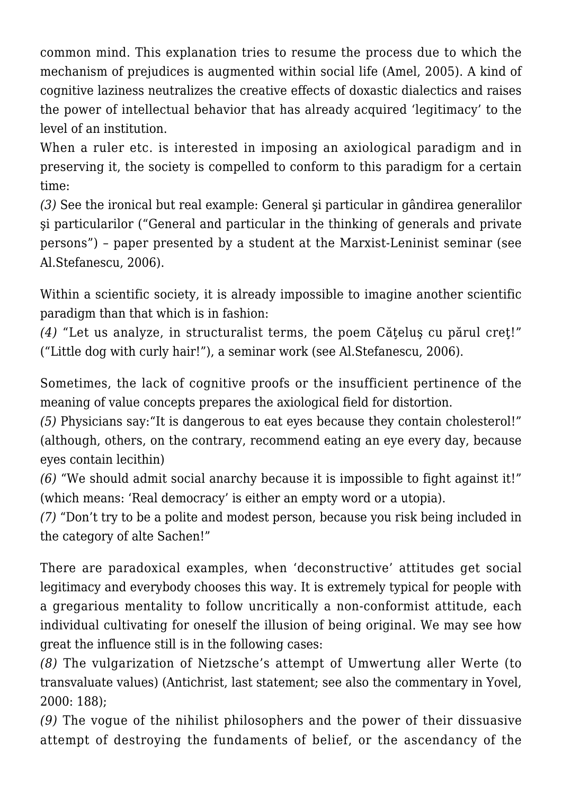common mind. This explanation tries to resume the process due to which the mechanism of prejudices is augmented within social life (Amel, 2005). A kind of cognitive laziness neutralizes the creative effects of doxastic dialectics and raises the power of intellectual behavior that has already acquired 'legitimacy' to the level of an institution.

When a ruler etc. is interested in imposing an axiological paradigm and in preserving it, the society is compelled to conform to this paradigm for a certain time:

*(3)* See the ironical but real example: General şi particular in gândirea generalilor si particularilor ("General and particular in the thinking of generals and private persons") – paper presented by a student at the Marxist-Leninist seminar (see Al.Stefanescu, 2006).

Within a scientific society, it is already impossible to imagine another scientific paradigm than that which is in fashion:

*(4)* "Let us analyze, in structuralist terms, the poem Cătelus cu părul creț!" ("Little dog with curly hair!"), a seminar work (see Al.Stefanescu, 2006).

Sometimes, the lack of cognitive proofs or the insufficient pertinence of the meaning of value concepts prepares the axiological field for distortion.

*(5)* Physicians say:"It is dangerous to eat eyes because they contain cholesterol!" (although, others, on the contrary, recommend eating an eye every day, because eyes contain lecithin)

*(6)* "We should admit social anarchy because it is impossible to fight against it!" (which means: 'Real democracy' is either an empty word or a utopia).

*(7)* "Don't try to be a polite and modest person, because you risk being included in the category of alte Sachen!"

There are paradoxical examples, when 'deconstructive' attitudes get social legitimacy and everybody chooses this way. It is extremely typical for people with a gregarious mentality to follow uncritically a non-conformist attitude, each individual cultivating for oneself the illusion of being original. We may see how great the influence still is in the following cases:

*(8)* The vulgarization of Nietzsche's attempt of Umwertung aller Werte (to transvaluate values) (Antichrist, last statement; see also the commentary in Yovel, 2000: 188);

*(9)* The vogue of the nihilist philosophers and the power of their dissuasive attempt of destroying the fundaments of belief, or the ascendancy of the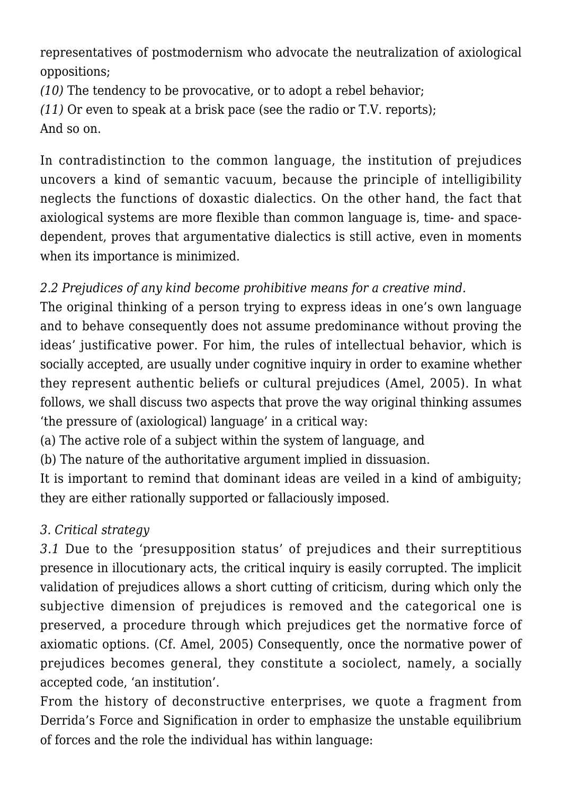representatives of postmodernism who advocate the neutralization of axiological oppositions;

*(10)* The tendency to be provocative, or to adopt a rebel behavior;

*(11)* Or even to speak at a brisk pace (see the radio or T.V. reports);

And so on.

In contradistinction to the common language, the institution of prejudices uncovers a kind of semantic vacuum, because the principle of intelligibility neglects the functions of doxastic dialectics. On the other hand, the fact that axiological systems are more flexible than common language is, time- and spacedependent, proves that argumentative dialectics is still active, even in moments when its importance is minimized.

# *2.2 Prejudices of any kind become prohibitive means for a creative mind.*

The original thinking of a person trying to express ideas in one's own language and to behave consequently does not assume predominance without proving the ideas' justificative power. For him, the rules of intellectual behavior, which is socially accepted, are usually under cognitive inquiry in order to examine whether they represent authentic beliefs or cultural prejudices (Amel, 2005). In what follows, we shall discuss two aspects that prove the way original thinking assumes 'the pressure of (axiological) language' in a critical way:

(a) The active role of a subject within the system of language, and

(b) The nature of the authoritative argument implied in dissuasion.

It is important to remind that dominant ideas are veiled in a kind of ambiguity; they are either rationally supported or fallaciously imposed.

# *3. Critical strategy*

*3.1* Due to the 'presupposition status' of prejudices and their surreptitious presence in illocutionary acts, the critical inquiry is easily corrupted. The implicit validation of prejudices allows a short cutting of criticism, during which only the subjective dimension of prejudices is removed and the categorical one is preserved, a procedure through which prejudices get the normative force of axiomatic options. (Cf. Amel, 2005) Consequently, once the normative power of prejudices becomes general, they constitute a sociolect, namely, a socially accepted code, 'an institution'.

From the history of deconstructive enterprises, we quote a fragment from Derrida's Force and Signification in order to emphasize the unstable equilibrium of forces and the role the individual has within language: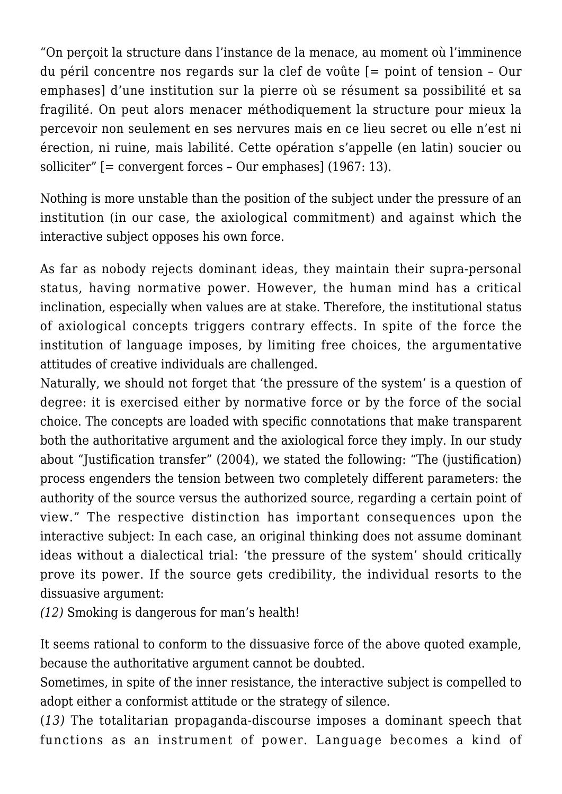"On perçoit la structure dans l'instance de la menace, au moment où l'imminence du péril concentre nos regards sur la clef de voûte [= point of tension – Our emphases] d'une institution sur la pierre où se résument sa possibilité et sa fragilité. On peut alors menacer méthodiquement la structure pour mieux la percevoir non seulement en ses nervures mais en ce lieu secret ou elle n'est ni érection, ni ruine, mais labilité. Cette opération s'appelle (en latin) soucier ou solliciter" [= convergent forces – Our emphases] (1967: 13).

Nothing is more unstable than the position of the subject under the pressure of an institution (in our case, the axiological commitment) and against which the interactive subject opposes his own force.

As far as nobody rejects dominant ideas, they maintain their supra-personal status, having normative power. However, the human mind has a critical inclination, especially when values are at stake. Therefore, the institutional status of axiological concepts triggers contrary effects. In spite of the force the institution of language imposes, by limiting free choices, the argumentative attitudes of creative individuals are challenged.

Naturally, we should not forget that 'the pressure of the system' is a question of degree: it is exercised either by normative force or by the force of the social choice. The concepts are loaded with specific connotations that make transparent both the authoritative argument and the axiological force they imply. In our study about "Justification transfer" (2004), we stated the following: "The (justification) process engenders the tension between two completely different parameters: the authority of the source versus the authorized source, regarding a certain point of view." The respective distinction has important consequences upon the interactive subject: In each case, an original thinking does not assume dominant ideas without a dialectical trial: 'the pressure of the system' should critically prove its power. If the source gets credibility, the individual resorts to the dissuasive argument:

*(12)* Smoking is dangerous for man's health!

It seems rational to conform to the dissuasive force of the above quoted example, because the authoritative argument cannot be doubted.

Sometimes, in spite of the inner resistance, the interactive subject is compelled to adopt either a conformist attitude or the strategy of silence.

(*13)* The totalitarian propaganda-discourse imposes a dominant speech that functions as an instrument of power. Language becomes a kind of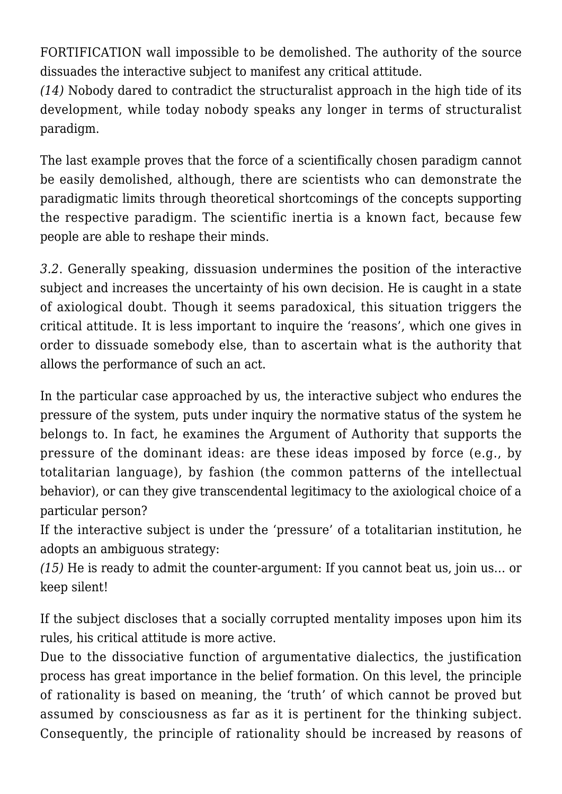FORTIFICATION wall impossible to be demolished. The authority of the source dissuades the interactive subject to manifest any critical attitude.

*(14)* Nobody dared to contradict the structuralist approach in the high tide of its development, while today nobody speaks any longer in terms of structuralist paradigm.

The last example proves that the force of a scientifically chosen paradigm cannot be easily demolished, although, there are scientists who can demonstrate the paradigmatic limits through theoretical shortcomings of the concepts supporting the respective paradigm. The scientific inertia is a known fact, because few people are able to reshape their minds.

*3.2*. Generally speaking, dissuasion undermines the position of the interactive subject and increases the uncertainty of his own decision. He is caught in a state of axiological doubt. Though it seems paradoxical, this situation triggers the critical attitude. It is less important to inquire the 'reasons', which one gives in order to dissuade somebody else, than to ascertain what is the authority that allows the performance of such an act.

In the particular case approached by us, the interactive subject who endures the pressure of the system, puts under inquiry the normative status of the system he belongs to. In fact, he examines the Argument of Authority that supports the pressure of the dominant ideas: are these ideas imposed by force (e.g., by totalitarian language), by fashion (the common patterns of the intellectual behavior), or can they give transcendental legitimacy to the axiological choice of a particular person?

If the interactive subject is under the 'pressure' of a totalitarian institution, he adopts an ambiguous strategy:

*(15)* He is ready to admit the counter-argument: If you cannot beat us, join us… or keep silent!

If the subject discloses that a socially corrupted mentality imposes upon him its rules, his critical attitude is more active.

Due to the dissociative function of argumentative dialectics, the justification process has great importance in the belief formation. On this level, the principle of rationality is based on meaning, the 'truth' of which cannot be proved but assumed by consciousness as far as it is pertinent for the thinking subject. Consequently, the principle of rationality should be increased by reasons of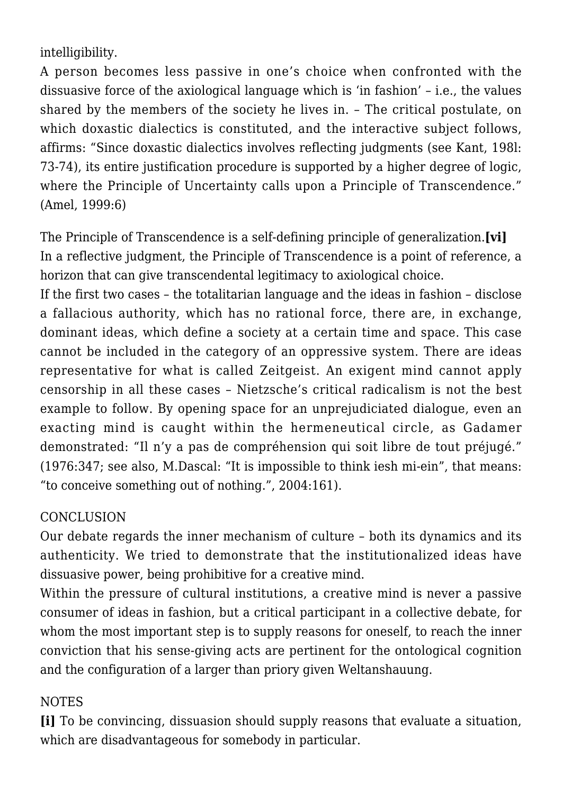intelligibility.

A person becomes less passive in one's choice when confronted with the dissuasive force of the axiological language which is 'in fashion' – i.e., the values shared by the members of the society he lives in. – The critical postulate, on which doxastic dialectics is constituted, and the interactive subject follows. affirms: "Since doxastic dialectics involves reflecting judgments (see Kant, 198l: 73-74), its entire justification procedure is supported by a higher degree of logic, where the Principle of Uncertainty calls upon a Principle of Transcendence." (Amel, 1999:6)

The Principle of Transcendence is a self-defining principle of generalization.**[vi]** In a reflective judgment, the Principle of Transcendence is a point of reference, a horizon that can give transcendental legitimacy to axiological choice.

If the first two cases – the totalitarian language and the ideas in fashion – disclose a fallacious authority, which has no rational force, there are, in exchange, dominant ideas, which define a society at a certain time and space. This case cannot be included in the category of an oppressive system. There are ideas representative for what is called Zeitgeist. An exigent mind cannot apply censorship in all these cases – Nietzsche's critical radicalism is not the best example to follow. By opening space for an unprejudiciated dialogue, even an exacting mind is caught within the hermeneutical circle, as Gadamer demonstrated: "Il n'y a pas de compréhension qui soit libre de tout préjugé." (1976:347; see also, M.Dascal: "It is impossible to think iesh mi-ein", that means: "to conceive something out of nothing.", 2004:161).

### CONCLUSION

Our debate regards the inner mechanism of culture – both its dynamics and its authenticity. We tried to demonstrate that the institutionalized ideas have dissuasive power, being prohibitive for a creative mind.

Within the pressure of cultural institutions, a creative mind is never a passive consumer of ideas in fashion, but a critical participant in a collective debate, for whom the most important step is to supply reasons for oneself, to reach the inner conviction that his sense-giving acts are pertinent for the ontological cognition and the configuration of a larger than priory given Weltanshauung.

## NOTES

**[i]** To be convincing, dissuasion should supply reasons that evaluate a situation, which are disadvantageous for somebody in particular.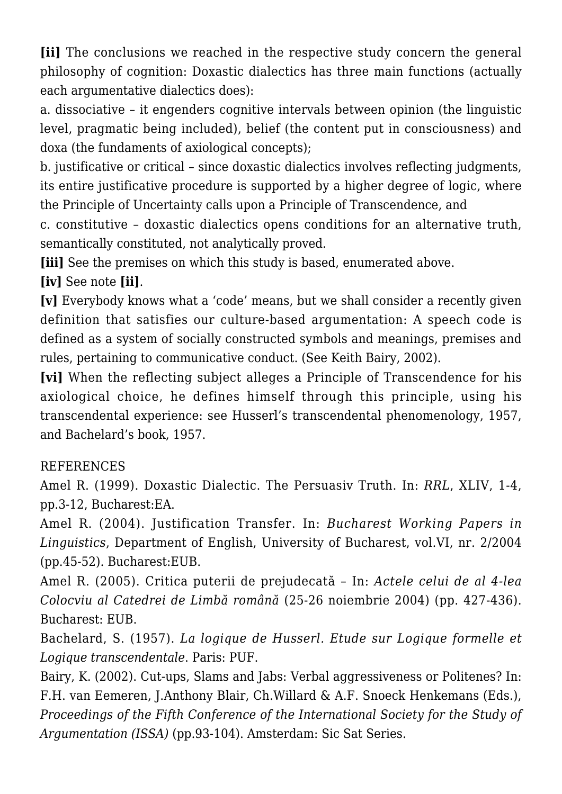**[ii]** The conclusions we reached in the respective study concern the general philosophy of cognition: Doxastic dialectics has three main functions (actually each argumentative dialectics does):

a. dissociative – it engenders cognitive intervals between opinion (the linguistic level, pragmatic being included), belief (the content put in consciousness) and doxa (the fundaments of axiological concepts);

b. justificative or critical – since doxastic dialectics involves reflecting judgments, its entire justificative procedure is supported by a higher degree of logic, where the Principle of Uncertainty calls upon a Principle of Transcendence, and

c. constitutive – doxastic dialectics opens conditions for an alternative truth, semantically constituted, not analytically proved.

**[iii]** See the premises on which this study is based, enumerated above.

## **[iv]** See note **[ii]**.

**[v]** Everybody knows what a 'code' means, but we shall consider a recently given definition that satisfies our culture-based argumentation: A speech code is defined as a system of socially constructed symbols and meanings, premises and rules, pertaining to communicative conduct. (See Keith Bairy, 2002).

**[vi]** When the reflecting subject alleges a Principle of Transcendence for his axiological choice, he defines himself through this principle, using his transcendental experience: see Husserl's transcendental phenomenology, 1957, and Bachelard's book, 1957.

## REFERENCES

Amel R. (1999). Doxastic Dialectic. The Persuasiv Truth. In: *RRL*, XLIV, 1-4, pp.3-12, Bucharest:EA.

Amel R. (2004). Justification Transfer. In: *Bucharest Working Papers in Linguistics*, Department of English, University of Bucharest, vol.VI, nr. 2/2004 (pp.45-52). Bucharest:EUB.

Amel R. (2005). Critica puterii de prejudecată – In: *Actele celui de al 4-lea Colocviu al Catedrei de Limbă română* (25-26 noiembrie 2004) (pp. 427-436). Bucharest: EUB.

Bachelard, S. (1957). *La logique de Husserl. Etude sur Logique formelle et Logique transcendentale*. Paris: PUF.

Bairy, K. (2002). Cut-ups, Slams and Jabs: Verbal aggressiveness or Politenes? In: F.H. van Eemeren, J.Anthony Blair, Ch.Willard & A.F. Snoeck Henkemans (Eds.), *Proceedings of the Fifth Conference of the International Society for the Study of Argumentation (ISSA)* (pp.93-104). Amsterdam: Sic Sat Series.